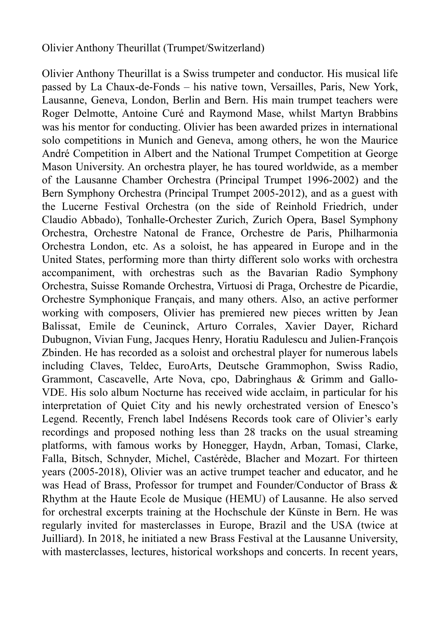## Olivier Anthony Theurillat (Trumpet/Switzerland)

Olivier Anthony Theurillat is a Swiss trumpeter and conductor. His musical life passed by La Chaux-de-Fonds – his native town, Versailles, Paris, New York, Lausanne, Geneva, London, Berlin and Bern. His main trumpet teachers were Roger Delmotte, Antoine Curé and Raymond Mase, whilst Martyn Brabbins was his mentor for conducting. Olivier has been awarded prizes in international solo competitions in Munich and Geneva, among others, he won the Maurice André Competition in Albert and the National Trumpet Competition at George Mason University. An orchestra player, he has toured worldwide, as a member of the Lausanne Chamber Orchestra (Principal Trumpet 1996-2002) and the Bern Symphony Orchestra (Principal Trumpet 2005-2012), and as a guest with the Lucerne Festival Orchestra (on the side of Reinhold Friedrich, under Claudio Abbado), Tonhalle-Orchester Zurich, Zurich Opera, Basel Symphony Orchestra, Orchestre Natonal de France, Orchestre de Paris, Philharmonia Orchestra London, etc. As a soloist, he has appeared in Europe and in the United States, performing more than thirty different solo works with orchestra accompaniment, with orchestras such as the Bavarian Radio Symphony Orchestra, Suisse Romande Orchestra, Virtuosi di Praga, Orchestre de Picardie, Orchestre Symphonique Français, and many others. Also, an active performer working with composers, Olivier has premiered new pieces written by Jean Balissat, Emile de Ceuninck, Arturo Corrales, Xavier Dayer, Richard Dubugnon, Vivian Fung, Jacques Henry, Horatiu Radulescu and Julien-François Zbinden. He has recorded as a soloist and orchestral player for numerous labels including Claves, Teldec, EuroArts, Deutsche Grammophon, Swiss Radio, Grammont, Cascavelle, Arte Nova, cpo, Dabringhaus & Grimm and Gallo-VDE. His solo album Nocturne has received wide acclaim, in particular for his interpretation of Quiet City and his newly orchestrated version of Enesco's Legend. Recently, French label Indésens Records took care of Olivier's early recordings and proposed nothing less than 28 tracks on the usual streaming platforms, with famous works by Honegger, Haydn, Arban, Tomasi, Clarke, Falla, Bitsch, Schnyder, Michel, Castérède, Blacher and Mozart. For thirteen years (2005-2018), Olivier was an active trumpet teacher and educator, and he was Head of Brass, Professor for trumpet and Founder/Conductor of Brass & Rhythm at the Haute Ecole de Musique (HEMU) of Lausanne. He also served for orchestral excerpts training at the Hochschule der Künste in Bern. He was regularly invited for masterclasses in Europe, Brazil and the USA (twice at Juilliard). In 2018, he initiated a new Brass Festival at the Lausanne University, with masterclasses, lectures, historical workshops and concerts. In recent years,